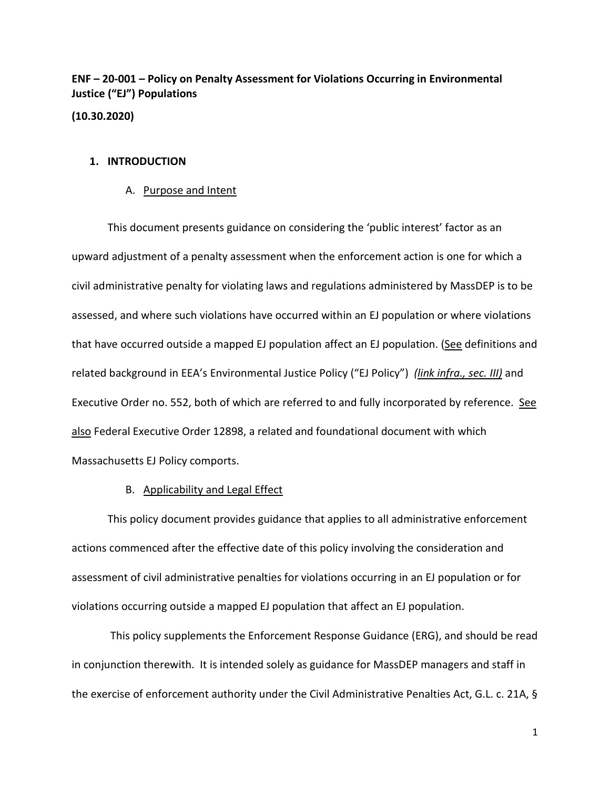**ENF – 20-001 – Policy on Penalty Assessment for Violations Occurring in Environmental Justice ("EJ") Populations**

**(10.30.2020)** 

## **1. INTRODUCTION**

#### A. Purpose and Intent

This document presents guidance on considering the 'public interest' factor as an upward adjustment of a penalty assessment when the enforcement action is one for which a civil administrative penalty for violating laws and regulations administered by MassDEP is to be assessed, and where such violations have occurred within an EJ population or where violations that have occurred outside a mapped EJ population affect an EJ population. (See definitions and related background in EEA's Environmental Justice Policy ("EJ Policy") *(link infra., sec. III)* and Executive Order no. 552, both of which are referred to and fully incorporated by reference. See also Federal Executive Order 12898, a related and foundational document with which Massachusetts EJ Policy comports.

### B. Applicability and Legal Effect

This policy document provides guidance that applies to all administrative enforcement actions commenced after the effective date of this policy involving the consideration and assessment of civil administrative penalties for violations occurring in an EJ population or for violations occurring outside a mapped EJ population that affect an EJ population.

This policy supplements the Enforcement Response Guidance (ERG), and should be read in conjunction therewith. It is intended solely as guidance for MassDEP managers and staff in the exercise of enforcement authority under the Civil Administrative Penalties Act, G.L. c. 21A, §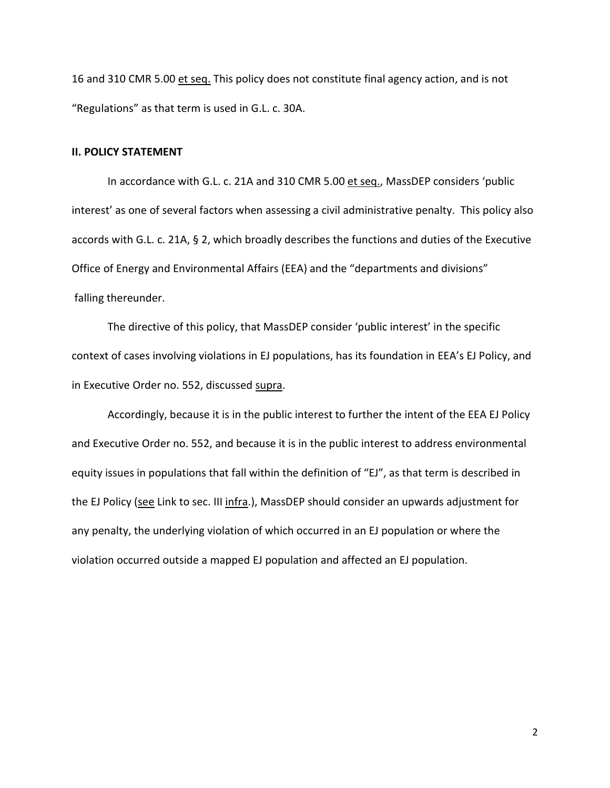16 and 310 CMR 5.00 et seq. This policy does not constitute final agency action, and is not "Regulations" as that term is used in G.L. c. 30A.

#### **II. POLICY STATEMENT**

In accordance with G.L. c. 21A and 310 CMR 5.00 et seq., MassDEP considers 'public interest' as one of several factors when assessing a civil administrative penalty. This policy also accords with G.L. c. 21A, § 2, which broadly describes the functions and duties of the Executive Office of Energy and Environmental Affairs (EEA) and the "departments and divisions" falling thereunder.

The directive of this policy, that MassDEP consider 'public interest' in the specific context of cases involving violations in EJ populations, has its foundation in EEA's EJ Policy, and in Executive Order no. 552, discussed supra.

Accordingly, because it is in the public interest to further the intent of the EEA EJ Policy and Executive Order no. 552, and because it is in the public interest to address environmental equity issues in populations that fall within the definition of "EJ", as that term is described in the EJ Policy (see Link to sec. III infra.), MassDEP should consider an upwards adjustment for any penalty, the underlying violation of which occurred in an EJ population or where the violation occurred outside a mapped EJ population and affected an EJ population.